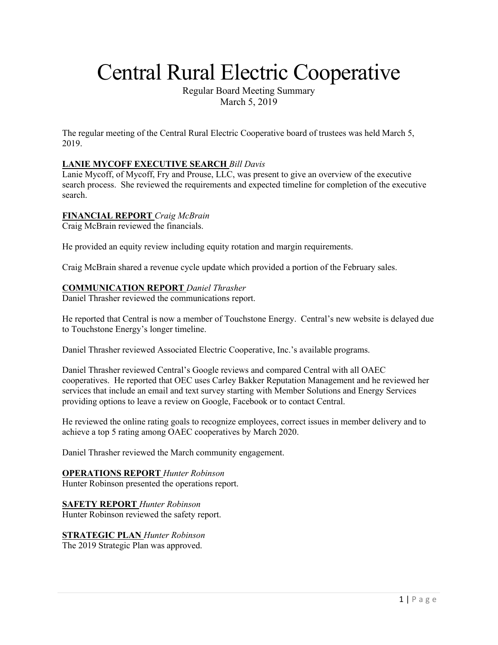# Central Rural Electric Cooperative

Regular Board Meeting Summary March 5, 2019

The regular meeting of the Central Rural Electric Cooperative board of trustees was held March 5, 2019.

# **LANIE MYCOFF EXECUTIVE SEARCH** *Bill Davis*

Lanie Mycoff, of Mycoff, Fry and Prouse, LLC, was present to give an overview of the executive search process. She reviewed the requirements and expected timeline for completion of the executive search.

#### **FINANCIAL REPORT** *Craig McBrain*

Craig McBrain reviewed the financials.

He provided an equity review including equity rotation and margin requirements.

Craig McBrain shared a revenue cycle update which provided a portion of the February sales.

#### **COMMUNICATION REPORT** *Daniel Thrasher*

Daniel Thrasher reviewed the communications report.

He reported that Central is now a member of Touchstone Energy. Central's new website is delayed due to Touchstone Energy's longer timeline.

Daniel Thrasher reviewed Associated Electric Cooperative, Inc.'s available programs.

Daniel Thrasher reviewed Central's Google reviews and compared Central with all OAEC cooperatives. He reported that OEC uses Carley Bakker Reputation Management and he reviewed her services that include an email and text survey starting with Member Solutions and Energy Services providing options to leave a review on Google, Facebook or to contact Central.

He reviewed the online rating goals to recognize employees, correct issues in member delivery and to achieve a top 5 rating among OAEC cooperatives by March 2020.

Daniel Thrasher reviewed the March community engagement.

#### **OPERATIONS REPORT** *Hunter Robinson*

Hunter Robinson presented the operations report.

#### **SAFETY REPORT** *Hunter Robinson*

Hunter Robinson reviewed the safety report.

## **STRATEGIC PLAN** *Hunter Robinson*

The 2019 Strategic Plan was approved.